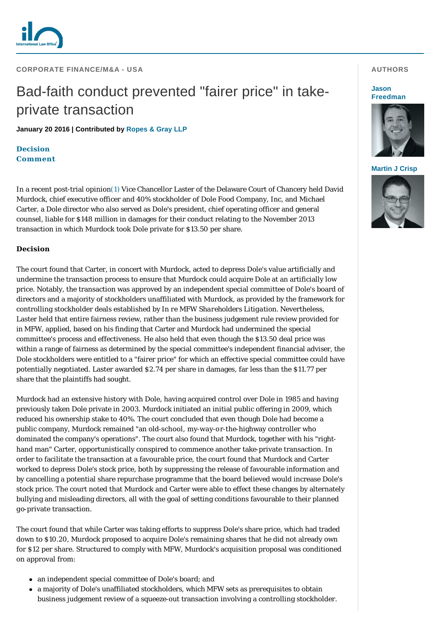

**CORPORATE FINANCE/M&A - USA** 

# Bad-faith conduct prevented "fairer price" in takeprivate transaction

**January 20 2016 | Contributed by [Ropes & Gray LLP](http://www.internationallawoffice.com/gesr.ashx?l=7QDV8AV)**

**[Decision](#page-0-0) [Comment](#page-1-0)**

In a recent post-trial opinion[\(1\)](#page-2-0) Vice Chancellor Laster of the Delaware Court of Chancery held David Murdock, chief executive officer and 40% stockholder of Dole Food Company, Inc, and Michael Carter, a Dole director who also served as Dole's president, chief operating officer and general counsel, liable for \$148 million in damages for their conduct relating to the November 2013 transaction in which Murdock took Dole private for \$13.50 per share.

# <span id="page-0-0"></span>**Decision**

The court found that Carter, in concert with Murdock, acted to depress Dole's value artificially and undermine the transaction process to ensure that Murdock could acquire Dole at an artificially low price. Notably, the transaction was approved by an independent special committee of Dole's board of directors and a majority of stockholders unaffiliated with Murdock, as provided by the framework for controlling stockholder deals established by *In re MFW Shareholders Litigation.* Nevertheless, Laster held that entire fairness review, rather than the business judgement rule review provided for in *MFW*, applied, based on his finding that Carter and Murdock had undermined the special committee's process and effectiveness. He also held that even though the \$13.50 deal price was within a range of fairness as determined by the special committee's independent financial adviser, the Dole stockholders were entitled to a "fairer price" for which an effective special committee could have potentially negotiated. Laster awarded \$2.74 per share in damages, far less than the \$11.77 per share that the plaintiffs had sought.

Murdock had an extensive history with Dole, having acquired control over Dole in 1985 and having previously taken Dole private in 2003. Murdock initiated an initial public offering in 2009, which reduced his ownership stake to 40%. The court concluded that even though Dole had become a public company, Murdock remained "an old-school, my-way-or-the-highway controller who dominated the company's operations". The court also found that Murdock, together with his "righthand man" Carter, opportunistically conspired to commence another take-private transaction. In order to facilitate the transaction at a favourable price, the court found that Murdock and Carter worked to depress Dole's stock price, both by suppressing the release of favourable information and by cancelling a potential share repurchase programme that the board believed would increase Dole's stock price. The court noted that Murdock and Carter were able to effect these changes by alternately bullying and misleading directors, all with the goal of setting conditions favourable to their planned go-private transaction.

The court found that while Carter was taking efforts to suppress Dole's share price, which had traded down to \$10.20, Murdock proposed to acquire Dole's remaining shares that he did not already own for \$12 per share. Structured to comply with *MFW*, Murdock's acquisition proposal was conditioned on approval from:

- an independent special committee of Dole's board; and
- a majority of Dole's unaffiliated stockholders, which *MFW* sets as prerequisites to obtain business judgement review of a squeeze-out transaction involving a controlling stockholder.

## **AUTHORS**

#### **Jason [Freedman](http://www.internationallawoffice.com/gesr.ashx?l=7QDV8AY)**



#### **[Martin J Crisp](http://www.internationallawoffice.com/gesr.ashx?l=7QDV8B1)**

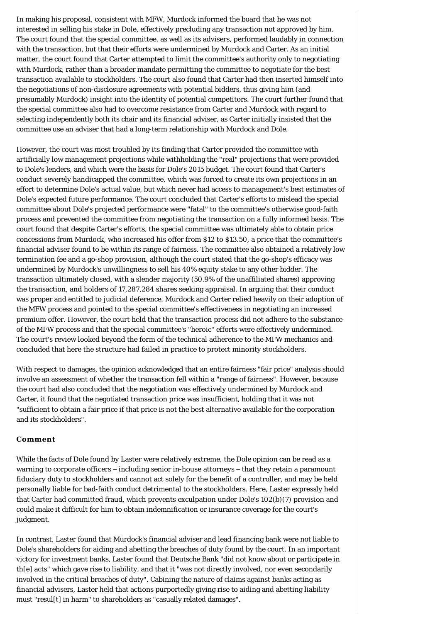In making his proposal, consistent with *MFW*, Murdock informed the board that he was not interested in selling his stake in Dole, effectively precluding any transaction not approved by him. The court found that the special committee, as well as its advisers, performed laudably in connection with the transaction, but that their efforts were undermined by Murdock and Carter. As an initial matter, the court found that Carter attempted to limit the committee's authority only to negotiating with Murdock, rather than a broader mandate permitting the committee to negotiate for the best transaction available to stockholders. The court also found that Carter had then inserted himself into the negotiations of non-disclosure agreements with potential bidders, thus giving him (and presumably Murdock) insight into the identity of potential competitors. The court further found that the special committee also had to overcome resistance from Carter and Murdock with regard to selecting independently both its chair and its financial adviser, as Carter initially insisted that the committee use an adviser that had a long-term relationship with Murdock and Dole.

However, the court was most troubled by its finding that Carter provided the committee with artificially low management projections while withholding the "real" projections that were provided to Dole's lenders, and which were the basis for Dole's 2015 budget. The court found that Carter's conduct severely handicapped the committee, which was forced to create its own projections in an effort to determine Dole's actual value, but which never had access to management's best estimates of Dole's expected future performance. The court concluded that Carter's efforts to mislead the special committee about Dole's projected performance were "fatal" to the committee's otherwise good-faith process and prevented the committee from negotiating the transaction on a fully informed basis. The court found that despite Carter's efforts, the special committee was ultimately able to obtain price concessions from Murdock, who increased his offer from \$12 to \$13.50, a price that the committee's financial adviser found to be within its range of fairness. The committee also obtained a relatively low termination fee and a go-shop provision, although the court stated that the go-shop's efficacy was undermined by Murdock's unwillingness to sell his 40% equity stake to any other bidder. The transaction ultimately closed, with a slender majority (50.9% of the unaffiliated shares) approving the transaction, and holders of 17,287,284 shares seeking appraisal. In arguing that their conduct was proper and entitled to judicial deference, Murdock and Carter relied heavily on their adoption of the *MFW* process and pointed to the special committee's effectiveness in negotiating an increased premium offer. However, the court held that the transaction process did not adhere to the substance of the *MFW* process and that the special committee's "heroic" efforts were effectively undermined. The court's review looked beyond the form of the technical adherence to the *MFW* mechanics and concluded that here the structure had failed in practice to protect minority stockholders.

With respect to damages, the opinion acknowledged that an entire fairness "fair price" analysis should involve an assessment of whether the transaction fell within a "range of fairness". However, because the court had also concluded that the negotiation was effectively undermined by Murdock and Carter, it found that the negotiated transaction price was insufficient, holding that it was not "sufficient to obtain a fair price if that price is not the best alternative available for the corporation and its stockholders".

## <span id="page-1-0"></span>**Comment**

While the facts of *Dole* found by Laster were relatively extreme, the *Dole* opinion can be read as a warning to corporate officers – including senior in-house attorneys – that they retain a paramount fiduciary duty to stockholders and cannot act solely for the benefit of a controller, and may be held personally liable for bad-faith conduct detrimental to the stockholders. Here, Laster expressly held that Carter had committed fraud, which prevents exculpation under Dole's 102(b)(7) provision and could make it difficult for him to obtain indemnification or insurance coverage for the court's judgment.

In contrast, Laster found that Murdock's financial adviser and lead financing bank were not liable to Dole's shareholders for aiding and abetting the breaches of duty found by the court. In an important victory for investment banks, Laster found that Deutsche Bank "did not know about or participate in th[e] acts" which gave rise to liability, and that it "was not directly involved, nor even secondarily involved in the critical breaches of duty". Cabining the nature of claims against banks acting as financial advisers, Laster held that actions purportedly giving rise to aiding and abetting liability must "resul[t] in harm" to shareholders as "casually related damages".